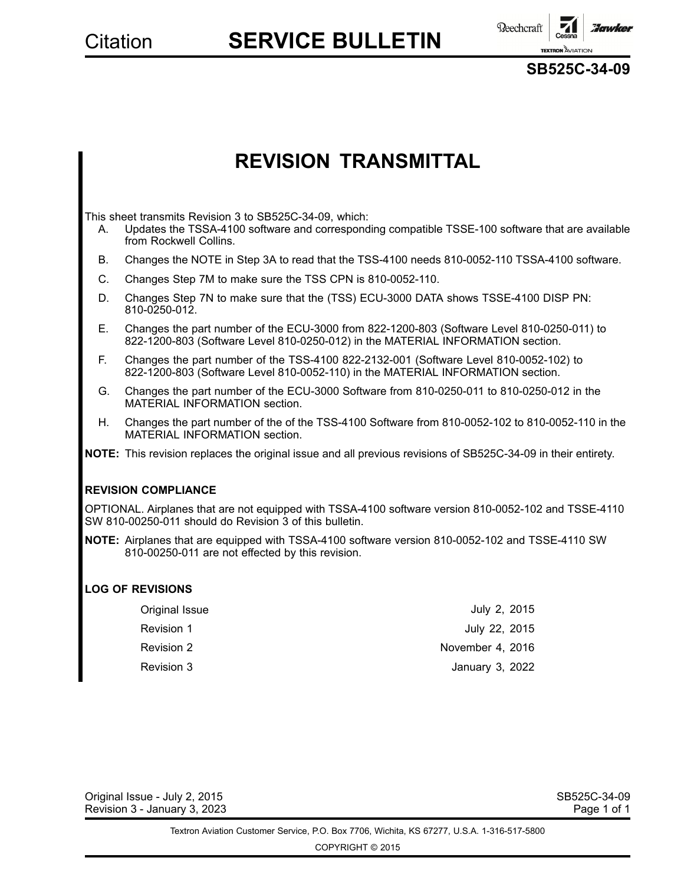**Reechcraft Howker TEXTRON** AVIAT

**SB525C-34-09**

# **REVISION TRANSMITTAL**

This sheet transmits Revision 3 to SB525C-34-09, which:

- A. Updates the TSSA-4100 software and corresponding compatible TSSE-100 software that are available from Rockwell Collins.
- B. Changes the NOTE in Step 3A to read that the TSS-4100 needs 810-0052-110 TSSA-4100 software.
- C. Changes Step 7M to make sure the TSS CPN is 810-0052-110.
- D. Changes Step 7N to make sure that the (TSS) ECU-3000 DATA shows TSSE-4100 DISP PN: 810-0250-012.
- E. Changes the part number of the ECU-3000 from 822-1200-803 (Software Level 810-0250-011) to 822-1200-803 (Software Level 810-0250-012) in the MATERIAL INFORMATION section.
- F. Changes the part number of the TSS-4100 822-2132-001 (Software Level 810-0052-102) to 822-1200-803 (Software Level 810-0052-110) in the MATERIAL INFORMATION section.
- G. Changes the part number of the ECU-3000 Software from 810-0250-011 to 810-0250-012 in the MATERIAL INFORMATION section.
- H. Changes the part number of the of the TSS-4100 Software from 810-0052-102 to 810-0052-110 in the MATERIAL INFORMATION section.
- **NOTE:** This revision replaces the original issue and all previous revisions of SB525C-34-09 in their entirety.

### **REVISION COMPLIANCE**

OPTIONAL. Airplanes that are not equipped with TSSA-4100 software version 810-0052-102 and TSSE-4110 SW 810-00250-011 should do Revision 3 of this bulletin.

**NOTE:** Airplanes that are equipped with TSSA-4100 software version 810-0052-102 and TSSE-4110 SW 810-00250-011 are not effected by this revision.

### **LOG OF REVISIONS**

| Original Issue | July 2, 2015     |
|----------------|------------------|
| Revision 1     | July 22, 2015    |
| Revision 2     | November 4, 2016 |
| Revision 3     | January 3, 2022  |

Original Issue - July 2, 2015 SB525C-34-09 Revision 3 - January 3, 2023 Page 1 of 1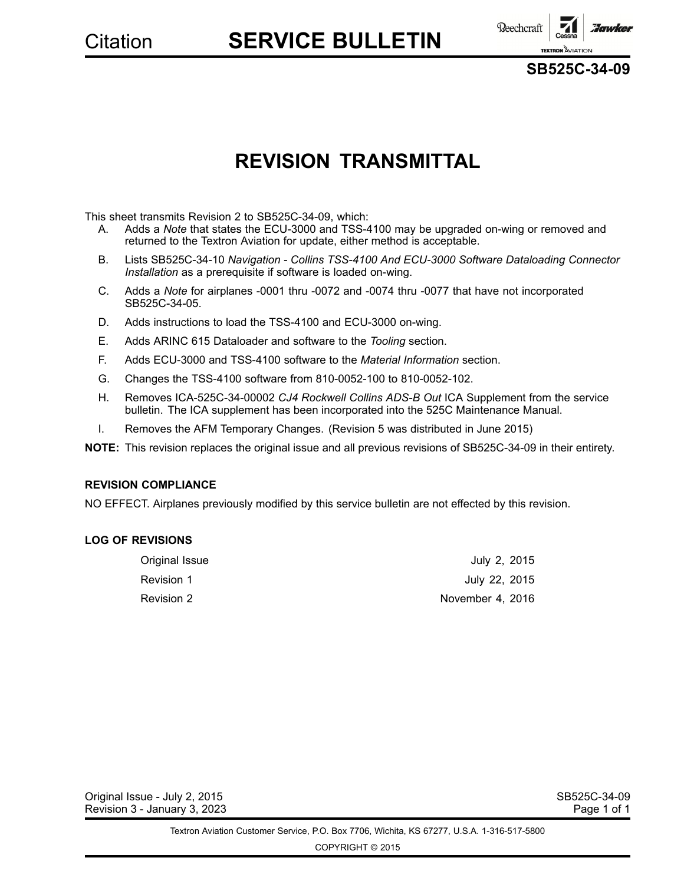**Beechcraft Howker TEXTRON** AVIATIC

**SB525C-34-09**

# **REVISION TRANSMITTAL**

This sheet transmits Revision 2 to SB525C-34-09, which:

- A. Adds <sup>a</sup> *Note* that states the ECU-3000 and TSS-4100 may be upgraded on-wing or removed and returned to the Textron Aviation for update, either method is acceptable.
- B. Lists SB525C-34-10 *Navigation - Collins TSS-4100 And ECU-3000 Software Dataloading Connector Installation* as <sup>a</sup> prerequisite if software is loaded on-wing.
- C. Adds <sup>a</sup> *Note* for airplanes -0001 thru -0072 and -0074 thru -0077 that have not incorporated SB525C-34-05.
- D. Adds instructions to load the TSS-4100 and ECU-3000 on-wing.
- E. Adds ARINC 615 Dataloader and software to the *Tooling* section.
- F. Adds ECU-3000 and TSS-4100 software to the *Material Information* section.
- G. Changes the TSS-4100 software from 810-0052-100 to 810-0052-102.
- H. Removes ICA-525C-34-00002 *CJ4 Rockwell Collins ADS-B Out* ICA Supplement from the service bulletin. The ICA supplement has been incorporated into the 525C Maintenance Manual.
- I. Removes the AFM Temporary Changes. (Revision 5 was distributed in June 2015)

**NOTE:** This revision replaces the original issue and all previous revisions of SB525C-34-09 in their entirety.

### **REVISION COMPLIANCE**

NO EFFECT. Airplanes previously modified by this service bulletin are not effected by this revision.

### **LOG OF REVISIONS**

| Original Issue | July 2, 2015     |
|----------------|------------------|
| Revision 1     | July 22, 2015    |
| Revision 2     | November 4, 2016 |

Original Issue - July 2, 2015<br>Revision 3 - January 3, 2023 SB525C-34-09 Revision 3 - January 3, 2023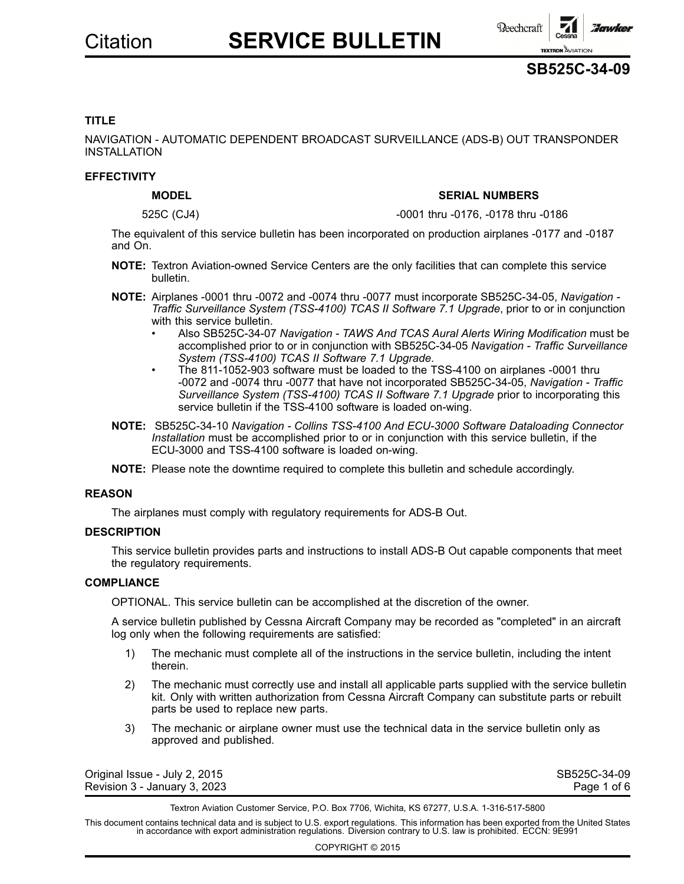



### **TITLE**

NAVIGATION - AUTOMATIC DEPENDENT BROADCAST SURVEILLANCE (ADS-B) OUT TRANSPONDER INSTALLATION

### **EFFECTIVITY**

### **MODEL SERIAL NUMBERS**

525C (CJ4) -0001 thru -0176, -0178 thru -0186

The equivalent of this service bulletin has been incorporated on production airplanes -0177 and -0187 and On.

- **NOTE:** Textron Aviation-owned Service Centers are the only facilities that can complete this service bulletin.
- **NOTE:** Airplanes -0001 thru -0072 and -0074 thru -0077 must incorporate SB525C-34-05, *Navigation - Traffic Surveillance System (TSS-4100) TCAS II Software 7.1 Upgrade*, prior to or in conjunction with this service bulletin.
	- • Also SB525C-34-07 *Navigation - TAWS And TCAS Aural Alerts Wiring Modification* must be accomplished prior to or in conjunction with SB525C-34-05 *Navigation - Traffic Surveillance System (TSS-4100) TCAS II Software 7.1 Upgrade*.
	- • The 811-1052-903 software must be loaded to the TSS-4100 on airplanes -0001 thru -0072 and -0074 thru -0077 that have not incorporated SB525C-34-05, *Navigation - Traffic Surveillance System (TSS-4100) TCAS II Software 7.1 Upgrade* prior to incorporating this service bulletin if the TSS-4100 software is loaded on-wing.
- **NOTE:** SB525C-34-10 *Navigation - Collins TSS-4100 And ECU-3000 Software Dataloading Connector Installation* must be accomplished prior to or in conjunction with this service bulletin, if the ECU-3000 and TSS-4100 software is loaded on-wing.
- **NOTE:** Please note the downtime required to complete this bulletin and schedule accordingly.

### **REASON**

The airplanes must comply with regulatory requirements for ADS-B Out.

### **DESCRIPTION**

This service bulletin provides parts and instructions to install ADS-B Out capable components that meet the regulatory requirements.

### **COMPLIANCE**

OPTIONAL. This service bulletin can be accomplished at the discretion of the owner.

A service bulletin published by Cessna Aircraft Company may be recorded as "completed" in an aircraft log only when the following requirements are satisfied:

- 1) The mechanic must complete all of the instructions in the service bulletin, including the intent therein.
- 2) The mechanic must correctly use and install all applicable parts supplied with the service bulletin kit. Only with written authorization from Cessna Aircraft Company can substitute parts or rebuilt parts be used to replace new parts.
- 3) The mechanic or airplane owner must use the technical data in the service bulletin only as approved and published.

| Original Issue - July 2, 2015 | SB525C-34-09 |
|-------------------------------|--------------|
| Revision 3 - January 3, 2023  | Page 1 of 6  |

Textron Aviation Customer Service, P.O. Box 7706, Wichita, KS 67277, U.S.A. 1-316-517-5800

This document contains technical data and is subject to U.S. export regulations. This information has been exported from the United States<br>in accordance with export administration regulations. Diversion contrary to U.S. la

COPYRIGHT © 2015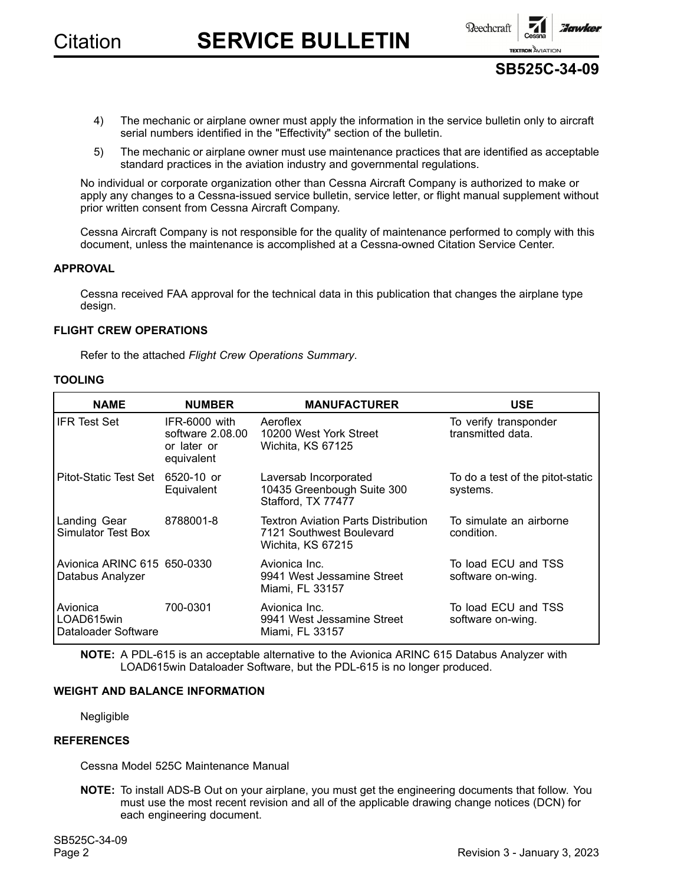



- 4) The mechanic or airplane owner must apply the information in the service bulletin only to aircraft serial numbers identified in the "Effectivity" section of the bulletin.
- 5) The mechanic or airplane owner must use maintenance practices that are identified as acceptable standard practices in the aviation industry and governmental regulations.

No individual or corporate organization other than Cessna Aircraft Company is authorized to make or apply any changes to <sup>a</sup> Cessna-issued service bulletin, service letter, or flight manual supplement without prior written consent from Cessna Aircraft Company.

Cessna Aircraft Company is not responsible for the quality of maintenance performed to comply with this document, unless the maintenance is accomplished at <sup>a</sup> Cessna-owned Citation Service Center.

### **APPROVAL**

Cessna received FAA approval for the technical data in this publication that changes the airplane type design.

### **FLIGHT CREW OPERATIONS**

Refer to the attached *Flight Crew Operations Summary*.

### **TOOLING**

| <b>NAME</b>                                     | <b>NUMBER</b>                                                    | <b>MANUFACTURER</b>                                                                         | <b>USE</b>                                   |
|-------------------------------------------------|------------------------------------------------------------------|---------------------------------------------------------------------------------------------|----------------------------------------------|
| <b>IFR Test Set</b>                             | IFR-6000 with<br>software $2.08.00$<br>or later or<br>equivalent | Aeroflex<br>10200 West York Street<br>Wichita, KS 67125                                     | To verify transponder<br>transmitted data.   |
| Pitot-Static Test Set 6520-10 or                | Equivalent                                                       | Laversab Incorporated<br>10435 Greenbough Suite 300<br>Stafford, TX 77477                   | To do a test of the pitot-static<br>systems. |
| Landing Gear<br>Simulator Test Box              | 8788001-8                                                        | <b>Textron Aviation Parts Distribution</b><br>7121 Southwest Boulevard<br>Wichita, KS 67215 | To simulate an airborne<br>condition.        |
| Avionica ARINC 615 650-0330<br>Databus Analyzer |                                                                  | Avionica Inc.<br>9941 West Jessamine Street<br>Miami, FL 33157                              | To load ECU and TSS<br>software on-wing.     |
| Avionica<br>LOAD615win<br>Dataloader Software   | 700-0301                                                         | Avionica Inc.<br>9941 West Jessamine Street<br>Miami, FL 33157                              | To load ECU and TSS<br>software on-wing.     |

**NOTE:** A PDL-615 is an acceptable alternative to the Avionica ARINC 615 Databus Analyzer with LOAD615win Dataloader Software, but the PDL-615 is no longer produced.

### **WEIGHT AND BALANCE INFORMATION**

Negligible

### **REFERENCES**

Cessna Model 525C Maintenance Manual

**NOTE:** To install ADS-B Out on your airplane, you must get the engineering documents that follow. You must use the most recent revision and all of the applicable drawing change notices (DCN) for each engineering document.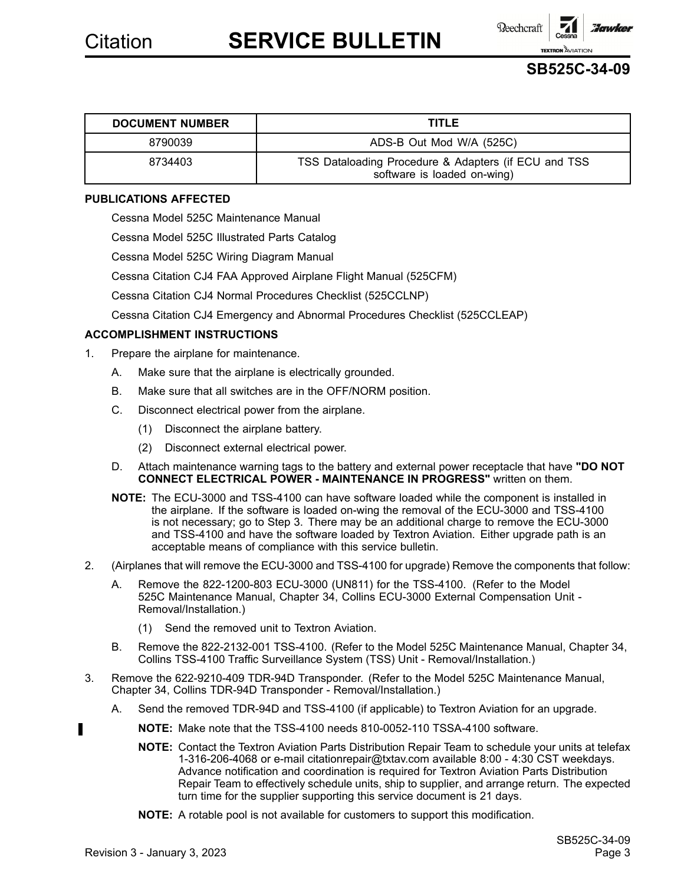**Reechcraft Howker TEXTRON** AVIATIC

### **SB525C-34-09**

| <b>DOCUMENT NUMBER</b> | <b>TITLE</b>                                                                        |
|------------------------|-------------------------------------------------------------------------------------|
| 8790039                | ADS-B Out Mod W/A (525C)                                                            |
| 8734403                | TSS Dataloading Procedure & Adapters (if ECU and TSS<br>software is loaded on-wing) |

### **PUBLICATIONS AFFECTED**

Cessna Model 525C Maintenance Manual

Cessna Model 525C Illustrated Parts Catalog

Cessna Model 525C Wiring Diagram Manual

Cessna Citation CJ4 FAA Approved Airplane Flight Manual (525CFM)

Cessna Citation CJ4 Normal Procedures Checklist (525CCLNP)

Cessna Citation CJ4 Emergency and Abnormal Procedures Checklist (525CCLEAP)

### **ACCOMPLISHMENT INSTRUCTIONS**

- 1. Prepare the airplane for maintenance.
	- A. Make sure that the airplane is electrically grounded.
	- B. Make sure that all switches are in the OFF/NORM position.
	- C. Disconnect electrical power from the airplane.
		- (1) Disconnect the airplane battery.
		- (2) Disconnect external electrical power.
	- D. Attach maintenance warning tags to the battery and external power receptacle that have **"DO NOT CONNECT ELECTRICAL POWER - MAINTENANCE IN PROGRESS"** written on them.
	- **NOTE:** The ECU-3000 and TSS-4100 can have software loaded while the component is installed in the airplane. If the software is loaded on-wing the removal of the ECU-3000 and TSS-4100 is not necessary; go to Step 3. There may be an additional charge to remove the ECU-3000 and TSS-4100 and have the software loaded by Textron Aviation. Either upgrade path is an acceptable means of compliance with this service bulletin.
- 2. (Airplanes that will remove the ECU-3000 and TSS-4100 for upgrade) Remove the components that follow:
	- A. Remove the 822-1200-803 ECU-3000 (UN811) for the TSS-4100. (Refer to the Model 525C Maintenance Manual, Chapter 34, Collins ECU-3000 External Compensation Unit - Removal/Installation.)
		- (1) Send the removed unit to Textron Aviation.
	- B. Remove the 822-2132-001 TSS-4100. (Refer to the Model 525C Maintenance Manual, Chapter 34, Collins TSS-4100 Traffic Surveillance System (TSS) Unit - Removal/Installation.)
- 3. Remove the 622-9210-409 TDR-94D Transponder. (Refer to the Model 525C Maintenance Manual, Chapter 34, Collins TDR-94D Transponder - Removal/Installation.)
	- A. Send the removed TDR-94D and TSS-4100 (if applicable) to Textron Aviation for an upgrade.
	- **NOTE:** Make note that the TSS-4100 needs 810-0052-110 TSSA-4100 software.
		- **NOTE:** Contact the Textron Aviation Parts Distribution Repair Team to schedule your units at telefax 1-316-206-4068 or e-mail citationrepair@txtav.com available 8:00 - 4:30 CST weekdays. Advance notification and coordination is required for Textron Aviation Parts Distribution Repair Team to effectively schedule units, ship to supplier, and arrange return. The expected turn time for the supplier supporting this service document is 21 days.
		- **NOTE:** A rotable pool is not available for customers to support this modification.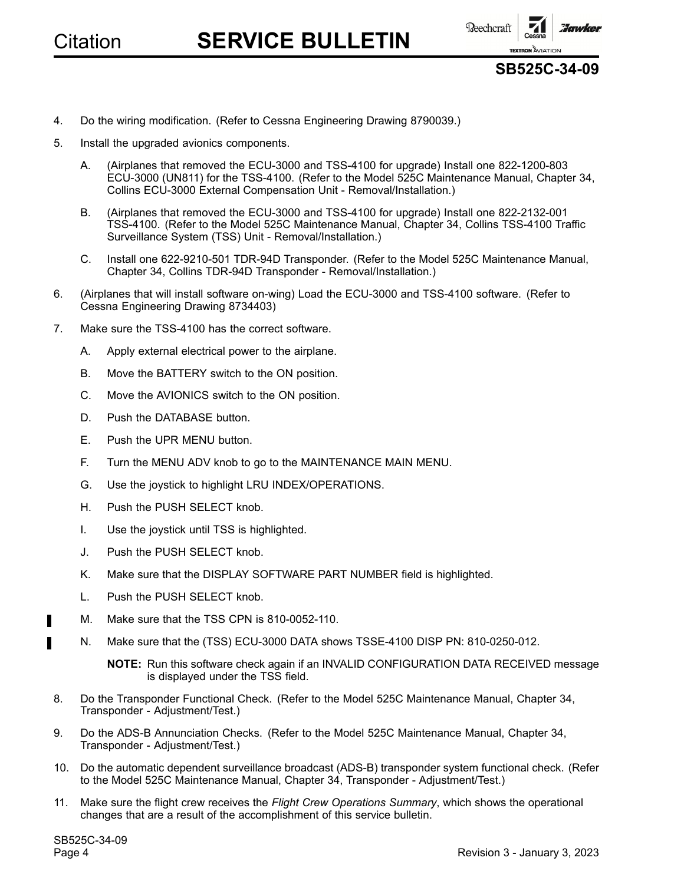

**SB525C-34-09**

**TEXTRON** AVIATION

**Howker** 

- 4. Do the wiring modification. (Refer to Cessna Engineering Drawing 8790039.)
- 5. Install the upgraded avionics components.
	- A. (Airplanes that removed the ECU-3000 and TSS-4100 for upgrade) Install one 822-1200-803 ECU-3000 (UN811) for the TSS-4100. (Refer to the Model 525C Maintenance Manual, Chapter 34, Collins ECU-3000 External Compensation Unit - Removal/Installation.)
	- B. (Airplanes that removed the ECU-3000 and TSS-4100 for upgrade) Install one 822-2132-001 TSS-4100. (Refer to the Model 525C Maintenance Manual, Chapter 34, Collins TSS-4100 Traffic Surveillance System (TSS) Unit - Removal/Installation.)
	- C. Install one 622-9210-501 TDR-94D Transponder. (Refer to the Model 525C Maintenance Manual, Chapter 34, Collins TDR-94D Transponder - Removal/Installation.)
- 6. (Airplanes that will install software on-wing) Load the ECU-3000 and TSS-4100 software. (Refer to Cessna Engineering Drawing 8734403)
- 7. Make sure the TSS-4100 has the correct software.
	- A. Apply external electrical power to the airplane.
	- B. Move the BATTERY switch to the ON position.
	- C. Move the AVIONICS switch to the ON position.
	- D. Push the DATABASE button.
	- E. Push the UPR MENU button.
	- F. Turn the MENU ADV knob to go to the MAINTENANCE MAIN MENU.
	- G. Use the joystick to highlight LRU INDEX/OPERATIONS.
	- H. Push the PUSH SELECT knob.
	- I. Use the joystick until TSS is highlighted.
	- J. Push the PUSH SELECT knob.
	- K. Make sure that the DISPLAY SOFTWARE PART NUMBER field is highlighted.
	- L. Push the PUSH SELECT knob.
	- M. Make sure that the TSS CPN is 810-0052-110.
	- N. Make sure that the (TSS) ECU-3000 DATA shows TSSE-4100 DISP PN: 810-0250-012.

**NOTE:** Run this software check again if an INVALID CONFIGURATION DATA RECEIVED message is displayed under the TSS field.

- 8. Do the Transponder Functional Check. (Refer to the Model 525C Maintenance Manual, Chapter 34, Transponder - Adjustment/Test.)
- 9. Do the ADS-B Annunciation Checks. (Refer to the Model 525C Maintenance Manual, Chapter 34, Transponder - Adjustment/Test.)
- 10. Do the automatic dependent surveillance broadcast (ADS-B) transponder system functional check. (Refer to the Model 525C Maintenance Manual, Chapter 34, Transponder - Adjustment/Test.)
- 11. Make sure the flight crew receives the *Flight Crew Operations Summary*, which shows the operational changes that are <sup>a</sup> result of the accomplishment of this service bulletin.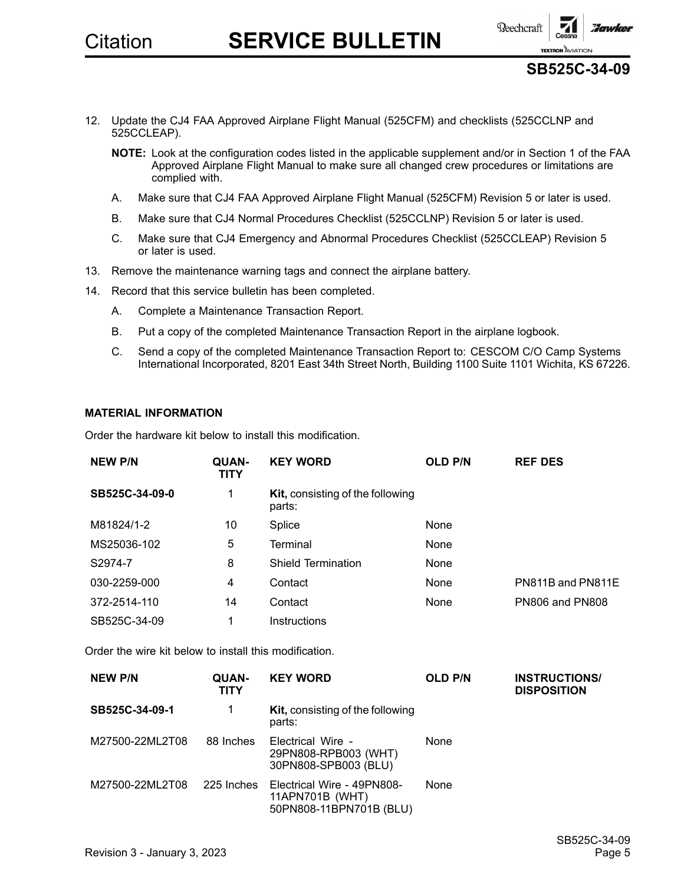

**SB525C-34-09**

- 12. Update the CJ4 FAA Approved Airplane Flight Manual (525CFM) and checklists (525CCLNP and 525CCLEAP).
	- **NOTE:** Look at the configuration codes listed in the applicable supplement and/or in Section 1 of the FAA Approved Airplane Flight Manual to make sure all changed crew procedures or limitations are complied with.
	- A. Make sure that CJ4 FAA Approved Airplane Flight Manual (525CFM) Revision 5 or later is used.
	- B. Make sure that CJ4 Normal Procedures Checklist (525CCLNP) Revision 5 or later is used.
	- C. Make sure that CJ4 Emergency and Abnormal Procedures Checklist (525CCLEAP) Revision 5 or later is used.
- 13. Remove the maintenance warning tags and connect the airplane battery.
- 14. Record that this service bulletin has been completed.
	- A. Complete <sup>a</sup> Maintenance Transaction Report.
	- B. Put <sup>a</sup> copy of the completed Maintenance Transaction Report in the airplane logbook.
	- C. Send <sup>a</sup> copy of the completed Maintenance Transaction Report to: CESCOM C/O Camp Systems International Incorporated, 8201 East 34th Street North, Building 1100 Suite 1101 Wichita, KS 67226.

### **MATERIAL INFORMATION**

Order the hardware kit below to install this modification.

| <b>NEW P/N</b> | QUAN-<br>TITY | <b>KEY WORD</b>                                   | <b>OLD P/N</b> | <b>REF DES</b>         |
|----------------|---------------|---------------------------------------------------|----------------|------------------------|
| SB525C-34-09-0 | 1             | <b>Kit, consisting of the following</b><br>parts: |                |                        |
| M81824/1-2     | 10            | Splice                                            | None           |                        |
| MS25036-102    | 5             | Terminal                                          | None           |                        |
| S2974-7        | 8             | <b>Shield Termination</b>                         | None           |                        |
| 030-2259-000   | 4             | Contact                                           | None           | PN811B and PN811E      |
| 372-2514-110   | 14            | Contact                                           | None           | <b>PN806 and PN808</b> |
| SB525C-34-09   | 1             | Instructions                                      |                |                        |

Order the wire kit below to install this modification.

| <b>NEW P/N</b>  | QUAN-<br>TITY | <b>KEY WORD</b>                                                          | <b>OLD P/N</b> | <b>INSTRUCTIONS/</b><br><b>DISPOSITION</b> |
|-----------------|---------------|--------------------------------------------------------------------------|----------------|--------------------------------------------|
| SB525C-34-09-1  | 1             | <b>Kit, consisting of the following</b><br>parts:                        |                |                                            |
| M27500-22ML2T08 | 88 Inches     | Electrical Wire -<br>29PN808-RPB003 (WHT)<br>30PN808-SPB003 (BLU)        | <b>None</b>    |                                            |
| M27500-22ML2T08 | 225 Inches    | Electrical Wire - 49PN808-<br>11APN701B (WHT)<br>50PN808-11BPN701B (BLU) | <b>None</b>    |                                            |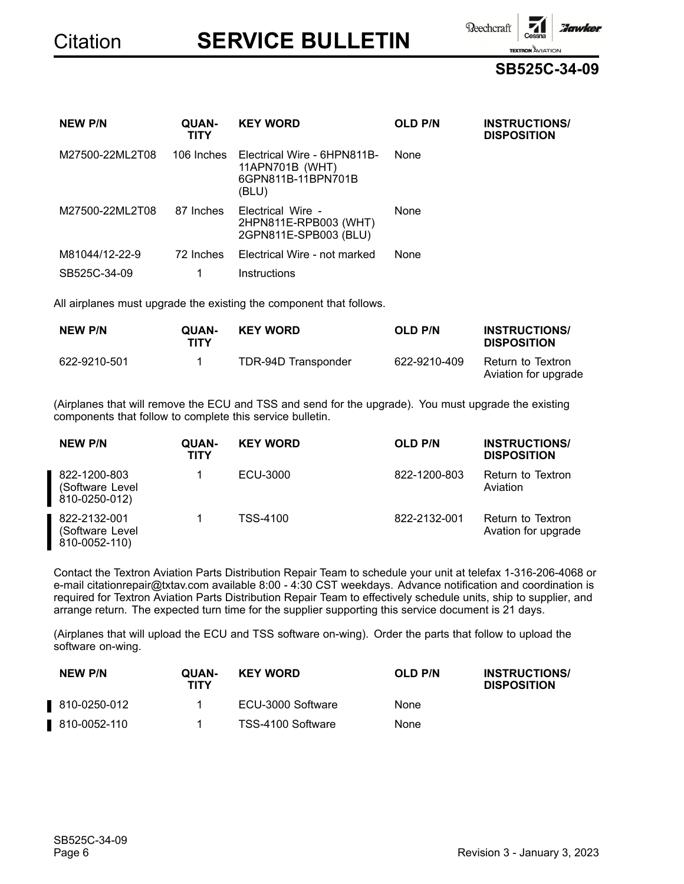**Reechcraft** 

**SB525C-34-09**

**TEXTRON** AVIATION

Tawkel

| <b>NEW P/N</b>  | QUAN-<br><b>TITY</b> | <b>KEY WORD</b>                                                               | <b>OLD P/N</b> | <b>INSTRUCTIONS/</b><br><b>DISPOSITION</b> |
|-----------------|----------------------|-------------------------------------------------------------------------------|----------------|--------------------------------------------|
| M27500-22ML2T08 | 106 Inches           | Electrical Wire - 6HPN811B-<br>11APN701B (WHT)<br>6GPN811B-11BPN701B<br>(BLU) | None           |                                            |
| M27500-22ML2T08 | 87 Inches            | Electrical Wire -<br>2HPN811E-RPB003 (WHT)<br>2GPN811E-SPB003 (BLU)           | None           |                                            |
| M81044/12-22-9  | 72 Inches            | Electrical Wire - not marked                                                  | None           |                                            |
| SB525C-34-09    |                      | Instructions                                                                  |                |                                            |

All airplanes must upgrade the existing the component that follows.

| <b>NEW P/N</b> | <b>OUAN-</b><br>TITY | <b>KEY WORD</b>     | <b>OLD P/N</b> | <b>INSTRUCTIONS/</b><br><b>DISPOSITION</b> |
|----------------|----------------------|---------------------|----------------|--------------------------------------------|
| 622-9210-501   |                      | TDR-94D Transponder | 622-9210-409   | Return to Textron<br>Aviation for upgrade  |

(Airplanes that will remove the ECU and TSS and send for the upgrade). You must upgrade the existing components that follow to complete this service bulletin.

| <b>NEW P/N</b>                                    | <b>QUAN-</b><br><b>TITY</b> | <b>KEY WORD</b> | <b>OLD P/N</b> | <b>INSTRUCTIONS/</b><br><b>DISPOSITION</b> |
|---------------------------------------------------|-----------------------------|-----------------|----------------|--------------------------------------------|
| 822-1200-803<br>(Software Level<br>810-0250-012)  |                             | ECU-3000        | 822-1200-803   | Return to Textron<br>Aviation              |
| 822-2132-001<br>(Software Level)<br>810-0052-110) |                             | TSS-4100        | 822-2132-001   | Return to Textron<br>Avation for upgrade   |

Contact the Textron Aviation Parts Distribution Repair Team to schedule your unit at telefax 1-316-206-4068 or e-mail citationrepair@txtav.com available 8:00 - 4:30 CST weekdays. Advance notification and coordination is required for Textron Aviation Parts Distribution Repair Team to effectively schedule units, ship to supplier, and arrange return. The expected turn time for the supplier supporting this service document is 21 days.

(Airplanes that will upload the ECU and TSS software on-wing). Order the parts that follow to upload the software on-wing.

| <b>NEW P/N</b> | <b>QUAN-</b><br>TITY | <b>KEY WORD</b>   | <b>OLD P/N</b> | <b>INSTRUCTIONS/</b><br><b>DISPOSITION</b> |
|----------------|----------------------|-------------------|----------------|--------------------------------------------|
| 810-0250-012   |                      | ECU-3000 Software | None           |                                            |
| 810-0052-110   |                      | TSS-4100 Software | None           |                                            |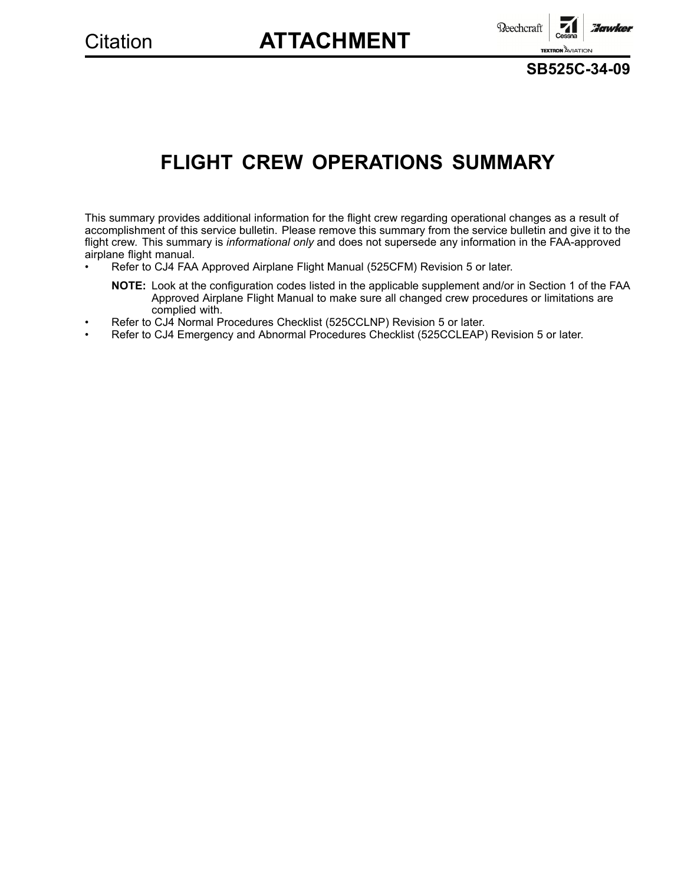# Citation **ATTACHMENT**



**SB525C-34-09**

# **FLIGHT CREW OPERATIONS SUMMARY**

This summary provides additional information for the flight crew regarding operational changes as <sup>a</sup> result of accomplishment of this service bulletin. Please remove this summary from the service bulletin and give it to the flight crew. This summary is *informational only* and does not supersede any information in the FAA-approved airplane flight manual.

- • Refer to CJ4 FAA Approved Airplane Flight Manual (525CFM) Revision 5 or later.
	- **NOTE:** Look at the configuration codes listed in the applicable supplement and/or in Section 1 of the FAA Approved Airplane Flight Manual to make sure all changed crew procedures or limitations are complied with.
- •Refer to CJ4 Normal Procedures Checklist (525CCLNP) Revision 5 or later.
- •Refer to CJ4 Emergency and Abnormal Procedures Checklist (525CCLEAP) Revision 5 or later.